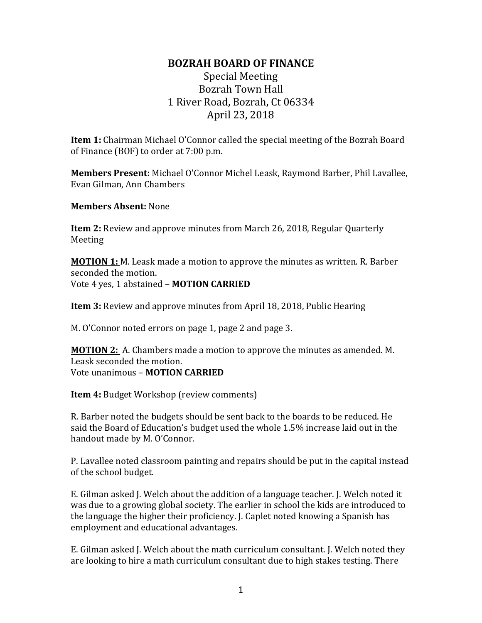## **BOZRAH BOARD OF FINANCE**

## Special Meeting Bozrah Town Hall 1 River Road, Bozrah, Ct 06334 April 23, 2018

**Item 1:** Chairman Michael O'Connor called the special meeting of the Bozrah Board of Finance (BOF) to order at 7:00 p.m.

**Members Present:** Michael O'Connor Michel Leask, Raymond Barber, Phil Lavallee, Evan Gilman, Ann Chambers

**Members Absent:** None

**Item 2:** Review and approve minutes from March 26, 2018, Regular Quarterly Meeting

**MOTION 1:** M. Leask made a motion to approve the minutes as written. R. Barber seconded the motion. Vote 4 yes, 1 abstained – **MOTION CARRIED**

**Item 3:** Review and approve minutes from April 18, 2018, Public Hearing

M. O'Connor noted errors on page 1, page 2 and page 3.

**MOTION 2:** A. Chambers made a motion to approve the minutes as amended. M. Leask seconded the motion. Vote unanimous – **MOTION CARRIED**

**Item 4:** Budget Workshop (review comments)

R. Barber noted the budgets should be sent back to the boards to be reduced. He said the Board of Education's budget used the whole 1.5% increase laid out in the handout made by M. O'Connor.

P. Lavallee noted classroom painting and repairs should be put in the capital instead of the school budget.

E. Gilman asked J. Welch about the addition of a language teacher. J. Welch noted it was due to a growing global society. The earlier in school the kids are introduced to the language the higher their proficiency. J. Caplet noted knowing a Spanish has employment and educational advantages.

E. Gilman asked J. Welch about the math curriculum consultant. J. Welch noted they are looking to hire a math curriculum consultant due to high stakes testing. There